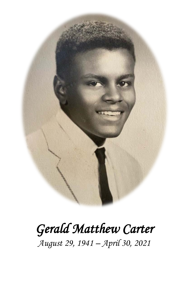

## *Gerald Matthew Carter August 29, 1941 – April 30, 2021*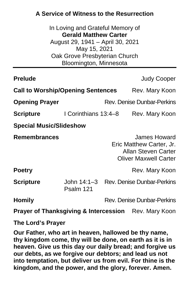## **A Service of Witness to the Resurrection**

In Loving and Grateful Memory of **Gerald Matthew Carter** August 29, 1941 – April 30, 2021 May 15, 2021 Oak Grove Presbyterian Church Bloomington, Minnesota

| <b>Prelude</b>                                                  |                          |                                   | <b>Judy Cooper</b>                                                                                     |  |
|-----------------------------------------------------------------|--------------------------|-----------------------------------|--------------------------------------------------------------------------------------------------------|--|
| <b>Call to Worship/Opening Sentences</b>                        |                          |                                   | Rev. Mary Koon                                                                                         |  |
| <b>Opening Prayer</b>                                           |                          |                                   | <b>Rev. Denise Dunbar-Perkins</b>                                                                      |  |
| Scripture                                                       | I Corinthians 13:4-8     |                                   | Rev. Mary Koon                                                                                         |  |
| <b>Special Music/Slideshow</b>                                  |                          |                                   |                                                                                                        |  |
| <b>Remembrances</b>                                             |                          |                                   | James Howard<br>Eric Matthew Carter, Jr.<br><b>Allan Steven Carter</b><br><b>Oliver Maxwell Carter</b> |  |
| <b>Poetry</b>                                                   |                          |                                   | Rev. Mary Koon                                                                                         |  |
| <b>Scripture</b>                                                | John 14:1–3<br>Psalm 121 |                                   | <b>Rev. Denise Dunbar-Perkins</b>                                                                      |  |
| <b>Homily</b>                                                   |                          | <b>Rev. Denise Dunbar-Perkins</b> |                                                                                                        |  |
| <b>Prayer of Thanksgiving &amp; Intercession</b> Rev. Mary Koon |                          |                                   |                                                                                                        |  |

**The Lord's Prayer**

**Our Father, who art in heaven, hallowed be thy name, thy kingdom come, thy will be done, on earth as it is in heaven. Give us this day our daily bread; and forgive us our debts, as we forgive our debtors; and lead us not into temptation, but deliver us from evil. For thine is the kingdom, and the power, and the glory, forever. Amen.**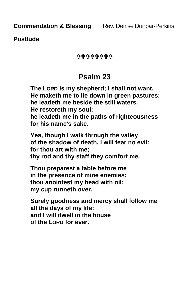**Postlude**

0090000000

## **Psalm 23**

**The LORD is my shepherd; I shall not want. He maketh me to lie down in green pastures: he leadeth me beside the still waters. He restoreth my soul: he leadeth me in the paths of righteousness for his name's sake.**

**Yea, though I walk through the valley of the shadow of death, I will fear no evil: for thou art with me; thy rod and thy staff they comfort me.**

**Thou preparest a table before me in the presence of mine enemies: thou anointest my head with oil; my cup runneth over.**

**Surely goodness and mercy shall follow me all the days of my life: and I will dwell in the house of the LORD for ever.**